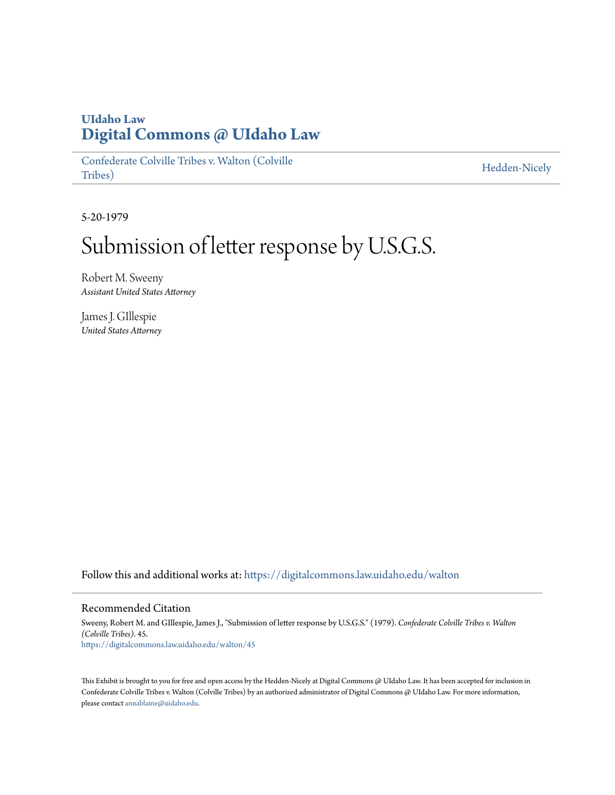## **UIdaho Law [Digital Commons @ UIdaho Law](https://digitalcommons.law.uidaho.edu?utm_source=digitalcommons.law.uidaho.edu%2Fwalton%2F45&utm_medium=PDF&utm_campaign=PDFCoverPages)**

[Confederate Colville Tribes v. Walton \(Colville](https://digitalcommons.law.uidaho.edu/walton?utm_source=digitalcommons.law.uidaho.edu%2Fwalton%2F45&utm_medium=PDF&utm_campaign=PDFCoverPages) [Tribes\)](https://digitalcommons.law.uidaho.edu/walton?utm_source=digitalcommons.law.uidaho.edu%2Fwalton%2F45&utm_medium=PDF&utm_campaign=PDFCoverPages)

[Hedden-Nicely](https://digitalcommons.law.uidaho.edu/hedden-nicely?utm_source=digitalcommons.law.uidaho.edu%2Fwalton%2F45&utm_medium=PDF&utm_campaign=PDFCoverPages)

5-20-1979

## Submission of letter response by U.S.G.S.

Robert M. Sweeny *Assistant United States Attorney*

James J. GIllespie *United States Attorney*

Follow this and additional works at: [https://digitalcommons.law.uidaho.edu/walton](https://digitalcommons.law.uidaho.edu/walton?utm_source=digitalcommons.law.uidaho.edu%2Fwalton%2F45&utm_medium=PDF&utm_campaign=PDFCoverPages)

## Recommended Citation

Sweeny, Robert M. and GIllespie, James J., "Submission of letter response by U.S.G.S." (1979). *Confederate Colville Tribes v. Walton (Colville Tribes)*. 45. [https://digitalcommons.law.uidaho.edu/walton/45](https://digitalcommons.law.uidaho.edu/walton/45?utm_source=digitalcommons.law.uidaho.edu%2Fwalton%2F45&utm_medium=PDF&utm_campaign=PDFCoverPages)

This Exhibit is brought to you for free and open access by the Hedden-Nicely at Digital Commons @ UIdaho Law. It has been accepted for inclusion in Confederate Colville Tribes v. Walton (Colville Tribes) by an authorized administrator of Digital Commons @ UIdaho Law. For more information, please contact [annablaine@uidaho.edu](mailto:annablaine@uidaho.edu).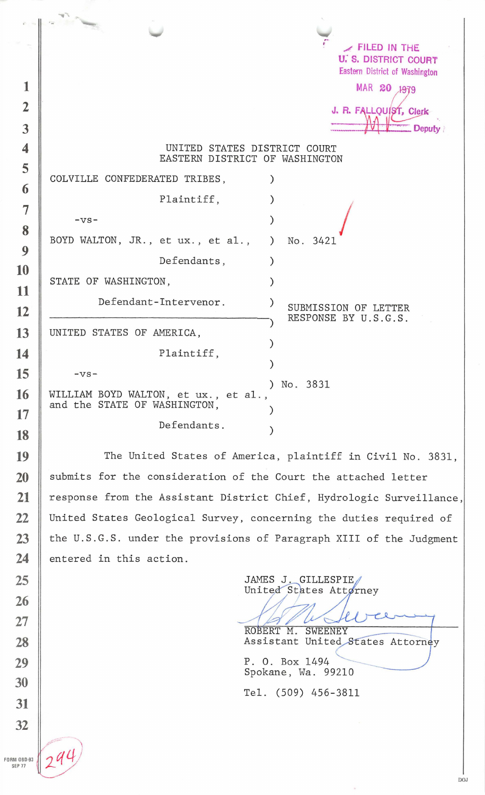|                |                                                                | FILED IN THE                                  |
|----------------|----------------------------------------------------------------|-----------------------------------------------|
|                |                                                                | <b>U. S. DISTRICT COURT</b>                   |
| 1              |                                                                | Eastern District of Washington<br>MAR 20 1979 |
|                |                                                                |                                               |
| $\overline{2}$ |                                                                | J. R. FALLQUIST, Clerk                        |
| $\overline{3}$ |                                                                | <b>Deputy</b>                                 |
| 4              | UNITED STATES DISTRICT COURT<br>EASTERN DISTRICT OF WASHINGTON |                                               |
| 5              | COLVILLE CONFEDERATED TRIBES,                                  |                                               |
| 6              |                                                                |                                               |
| 7              | Plaintiff,                                                     |                                               |
| 8              | $-VS-$                                                         |                                               |
|                | BOYD WALTON, JR., et ux., et al.,                              | No. 3421<br>$\lambda$                         |
| 9<br>10        | Defendants,                                                    |                                               |
| 11             | STATE OF WASHINGTON,                                           |                                               |
| 12             | Defendant-Intervenor.                                          | $\lambda$<br>SUBMISSION OF LETTER             |
|                |                                                                | RESPONSE BY U.S.G.S.                          |
| 13             | UNITED STATES OF AMERICA,                                      |                                               |
| 14             | Plaintiff,                                                     |                                               |
| 15             | $-VS-$                                                         |                                               |
| 16             | WILLIAM BOYD WALTON, et ux., et al.,                           | No. 3831<br>$\lambda$                         |
| 17             | and the STATE OF WASHINGTON,                                   |                                               |
| 18             | Defendants.                                                    |                                               |
|                |                                                                |                                               |

The United States of America, plaintiff in Civil No. 3831, submits for the consideration of the Court the attached letter response from the Assistant District Chief , Hydrologic Surveillance, United States Geological Survey, concerning the duties required of the U.S.G.S. under the provisions of Paragraph XIII of the Judgment entered in this action.

JAMES J. GILLESPIE United States Attorney Assistant United States Attorney P. 0. Box 1494 Spokane, Wa. 99210 Tel. (509) 456-3811

DOJ

FORM 0BD-93 SEP<sub>77</sub>

**10** 

**11** 

**12** 

**14** 

**15** 

**16** 

**17** 

**18** 

**19** 

**20** 

**21** 

**22** 

**23** 

**24** 

**25** 

**26** 

**27** 

**28** 

**29** 

**30** 

**31** 

**32**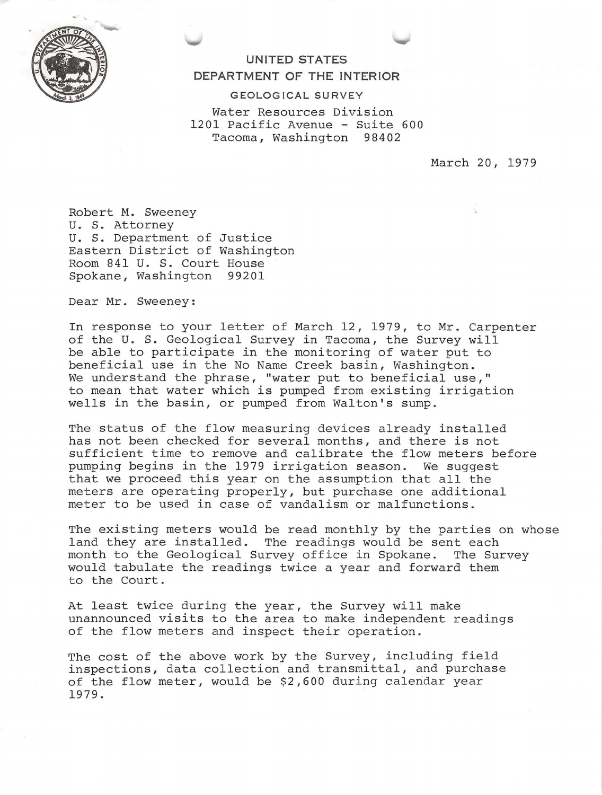

## **UNITED STATES DEPARTMENT OF THE INTERIOR**

**G EO LOG !CA L SU R VEY** 

Water Resources Division 1201 Pacific Avenue - Suite 600 Tacoma, Washington 98402

March 20, 1979

Robert M. Sweeney U. S. Attorney u. S. Department of Justice Eastern District of Washington Room 841 U. S. Court House Spokane, Washington 99201

Dear Mr. Sweeney:

In response to your letter of March 12, 1979, to Mr. Carpenter of the U. S. Geological Survey in Tacoma, the Survey will be able to participate in the monitoring of water put to beneficial use in the No Name Creek basin, Washington. We understand the phrase, "water put to beneficial use," to mean that water which is pumped from existing irrigation wells in the basin, or pumped from Walton's sump.

The status of the flow measuring devices already installed has not been checked for several months, and there is not sufficient time to remove and calibrate the flow meters before pumping begins in the 1979 irrigation season. We suggest that we proceed this year on the assumption that all the meters are operating properly , but purchase one additional meter to be used in case of vandalism or malfunctions .

The existing meters would be read monthly by the parties on whose land they are installed. The readings would be sent each month to the Geological Survey office in Spokane. The Survey would tabulate the readings twice a year and forward them to the Court .

At least twice during the year, the Survey will make unannounced visits to the area to make independent readings of the flow meters and inspect their operation.

The cost of the above work by the Survey, including field inspections, data collection and transmittal, and purchase of the flow meter , would be \$2 , 600 during calendar year 1979 .